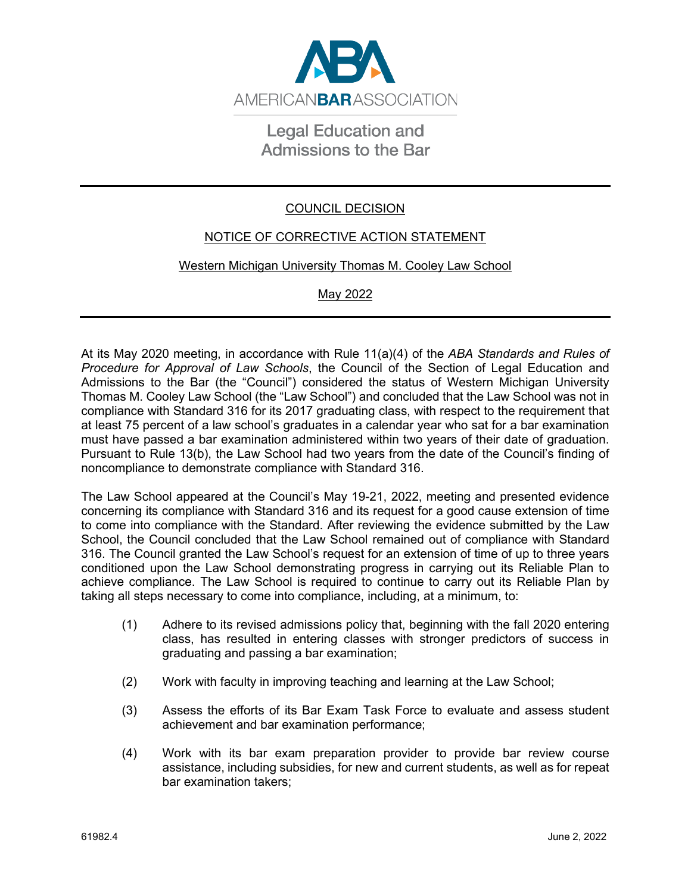

## **Legal Education and Admissions to the Bar**

## COUNCIL DECISION

## NOTICE OF CORRECTIVE ACTION STATEMENT

## Western Michigan University Thomas M. Cooley Law School

May 2022

At its May 2020 meeting, in accordance with Rule 11(a)(4) of the *ABA Standards and Rules of Procedure for Approval of Law Schools*, the Council of the Section of Legal Education and Admissions to the Bar (the "Council") considered the status of Western Michigan University Thomas M. Cooley Law School (the "Law School") and concluded that the Law School was not in compliance with Standard 316 for its 2017 graduating class, with respect to the requirement that at least 75 percent of a law school's graduates in a calendar year who sat for a bar examination must have passed a bar examination administered within two years of their date of graduation. Pursuant to Rule 13(b), the Law School had two years from the date of the Council's finding of noncompliance to demonstrate compliance with Standard 316.

The Law School appeared at the Council's May 19-21, 2022, meeting and presented evidence concerning its compliance with Standard 316 and its request for a good cause extension of time to come into compliance with the Standard. After reviewing the evidence submitted by the Law School, the Council concluded that the Law School remained out of compliance with Standard 316. The Council granted the Law School's request for an extension of time of up to three years conditioned upon the Law School demonstrating progress in carrying out its Reliable Plan to achieve compliance. The Law School is required to continue to carry out its Reliable Plan by taking all steps necessary to come into compliance, including, at a minimum, to:

- (1) Adhere to its revised admissions policy that, beginning with the fall 2020 entering class, has resulted in entering classes with stronger predictors of success in graduating and passing a bar examination;
- (2) Work with faculty in improving teaching and learning at the Law School;
- (3) Assess the efforts of its Bar Exam Task Force to evaluate and assess student achievement and bar examination performance;
- (4) Work with its bar exam preparation provider to provide bar review course assistance, including subsidies, for new and current students, as well as for repeat bar examination takers;